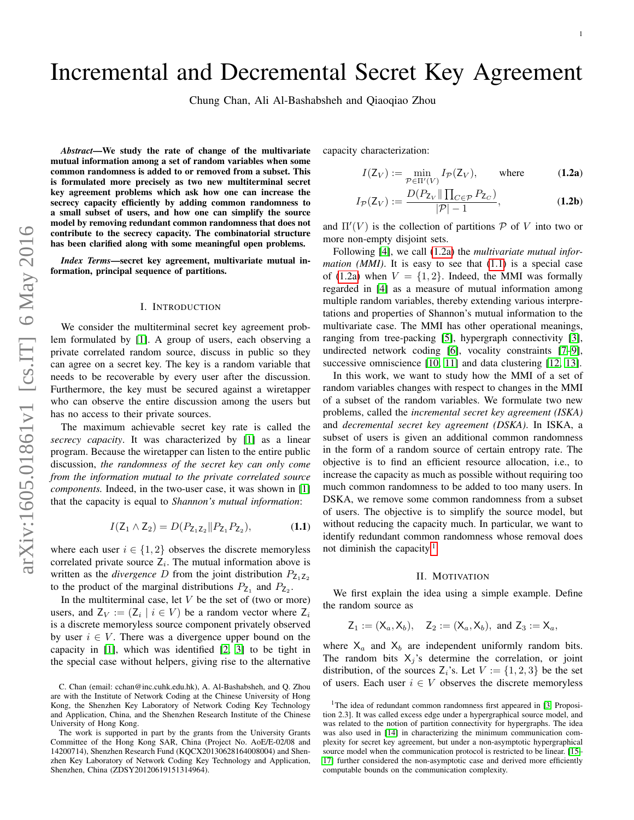# Incremental and Decremental Secret Key Agreement

Chung Chan, Ali Al-Bashabsheh and Qiaoqiao Zhou

*Abstract*—We study the rate of change of the multivariate mutual information among a set of random variables when some common randomness is added to or removed from a subset. This is formulated more precisely as two new multiterminal secret key agreement problems which ask how one can increase the secrecy capacity efficiently by adding common randomness to a small subset of users, and how one can simplify the source model by removing redundant common randomness that does not contribute to the secrecy capacity. The combinatorial structure has been clarified along with some meaningful open problems.

*Index Terms*—secret key agreement, multivariate mutual information, principal sequence of partitions.

## I. INTRODUCTION

We consider the multiterminal secret key agreement problem formulated by [\[1\]](#page-6-0). A group of users, each observing a private correlated random source, discuss in public so they can agree on a secret key. The key is a random variable that needs to be recoverable by every user after the discussion. Furthermore, the key must be secured against a wiretapper who can observe the entire discussion among the users but has no access to their private sources.

The maximum achievable secret key rate is called the *secrecy capacity*. It was characterized by [\[1\]](#page-6-0) as a linear program. Because the wiretapper can listen to the entire public discussion, *the randomness of the secret key can only come from the information mutual to the private correlated source components.* Indeed, in the two-user case, it was shown in [\[1\]](#page-6-0) that the capacity is equal to *Shannon's mutual information*:

$$
I(\mathsf{Z}_1 \wedge \mathsf{Z}_2) = D(P_{\mathsf{Z}_1 \mathsf{Z}_2} || P_{\mathsf{Z}_1} P_{\mathsf{Z}_2}),\tag{1.1}
$$

where each user  $i \in \{1, 2\}$  observes the discrete memoryless correlated private source  $Z_i$ . The mutual information above is written as the *divergence* D from the joint distribution  $P_{Z_1Z_2}$ to the product of the marginal distributions  $P_{Z_1}$  and  $P_{Z_2}$ .

In the multiterminal case, let  $V$  be the set of (two or more) users, and  $Z_V := (Z_i \mid i \in V)$  be a random vector where  $Z_i$ is a discrete memoryless source component privately observed by user  $i \in V$ . There was a divergence upper bound on the capacity in [\[1\]](#page-6-0), which was identified [\[2,](#page-6-1) [3\]](#page-6-2) to be tight in the special case without helpers, giving rise to the alternative capacity characterization:

<span id="page-0-0"></span>
$$
I(Z_V) := \min_{\mathcal{P} \in \Pi'(V)} I_{\mathcal{P}}(Z_V), \quad \text{where} \quad (1.2a)
$$

$$
I_{\mathcal{P}}(Z_V) := \frac{D(P_{Z_V} \|\prod_{C \in \mathcal{P}} P_{Z_C})}{|\mathcal{P}| - 1},
$$
\n(1.2b)

and  $\Pi'(V)$  is the collection of partitions  $P$  of V into two or more non-empty disjoint sets.

Following [\[4\]](#page-6-3), we call [\(1.2a\)](#page-0-0) the *multivariate mutual information (MMI)*. It is easy to see that [\(1.1\)](#page-0-1) is a special case of [\(1.2a\)](#page-0-0) when  $V = \{1, 2\}$ . Indeed, the MMI was formally regarded in [\[4\]](#page-6-3) as a measure of mutual information among multiple random variables, thereby extending various interpretations and properties of Shannon's mutual information to the multivariate case. The MMI has other operational meanings, ranging from tree-packing [\[5\]](#page-6-4), hypergraph connectivity [\[3\]](#page-6-2), undirected network coding [\[6\]](#page-6-5), vocality constraints [\[7](#page-6-6)[–9\]](#page-6-7), successive omniscience [\[10,](#page-6-8) [11\]](#page-6-9) and data clustering [\[12,](#page-6-10) [13\]](#page-6-11).

In this work, we want to study how the MMI of a set of random variables changes with respect to changes in the MMI of a subset of the random variables. We formulate two new problems, called the *incremental secret key agreement (ISKA)* and *decremental secret key agreement (DSKA)*. In ISKA, a subset of users is given an additional common randomness in the form of a random source of certain entropy rate. The objective is to find an efficient resource allocation, i.e., to increase the capacity as much as possible without requiring too much common randomness to be added to too many users. In DSKA, we remove some common randomness from a subset of users. The objective is to simplify the source model, but without reducing the capacity much. In particular, we want to identify redundant common randomness whose removal does not diminish the capacity. $\frac{1}{1}$  $\frac{1}{1}$  $\frac{1}{1}$ 

## II. MOTIVATION

<span id="page-0-1"></span>We first explain the idea using a simple example. Define the random source as

$$
Z_1 := (X_a, X_b), \quad Z_2 := (X_a, X_b), \text{ and } Z_3 := X_a,
$$

where  $X_a$  and  $X_b$  are independent uniformly random bits. The random bits  $X_j$ 's determine the correlation, or joint distribution, of the sources  $Z_i$ 's. Let  $V := \{1, 2, 3\}$  be the set of users. Each user  $i \in V$  observes the discrete memoryless

C. Chan (email: cchan@inc.cuhk.edu.hk), A. Al-Bashabsheh, and Q. Zhou are with the Institute of Network Coding at the Chinese University of Hong Kong, the Shenzhen Key Laboratory of Network Coding Key Technology and Application, China, and the Shenzhen Research Institute of the Chinese University of Hong Kong.

The work is supported in part by the grants from the University Grants Committee of the Hong Kong SAR, China (Project No. AoE/E-02/08 and 14200714), Shenzhen Research Fund (KQCX20130628164008004) and Shenzhen Key Laboratory of Network Coding Key Technology and Application, Shenzhen, China (ZDSY20120619151314964).

<span id="page-0-2"></span><sup>&</sup>lt;sup>1</sup>The idea of redundant common randomness first appeared in [\[3,](#page-6-2) Proposition 2.3]. It was called excess edge under a hypergraphical source model, and was related to the notion of partition connectivity for hypergraphs. The idea was also used in [\[14\]](#page-6-12) in characterizing the minimum communication complexity for secret key agreement, but under a non-asymptotic hypergraphical source model when the communication protocol is restricted to be linear. [\[15–](#page-6-13) [17\]](#page-6-14) further considered the non-asymptotic case and derived more efficiently computable bounds on the communication complexity.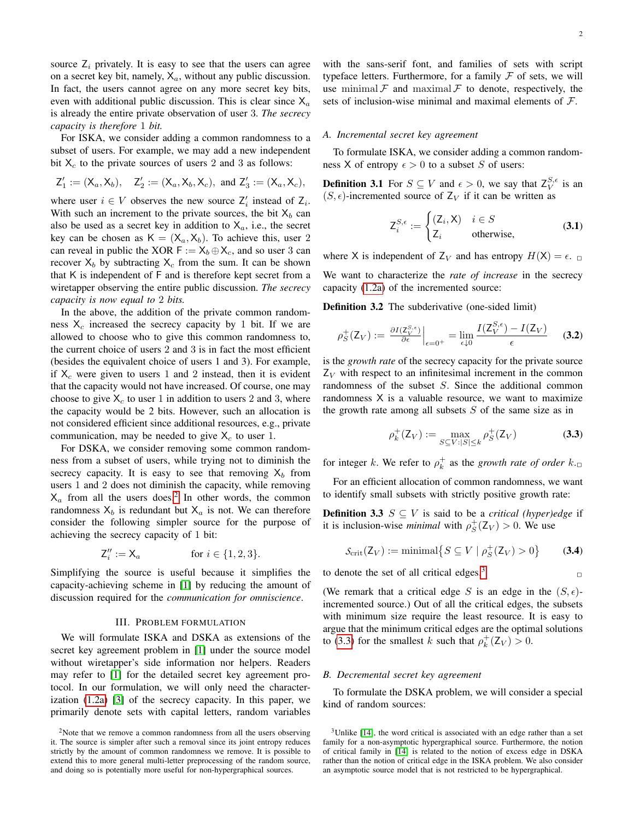source  $Z_i$  privately. It is easy to see that the users can agree on a secret key bit, namely,  $X_a$ , without any public discussion. In fact, the users cannot agree on any more secret key bits, even with additional public discussion. This is clear since  $X_a$ is already the entire private observation of user 3. *The secrecy capacity is therefore* 1 *bit.*

For ISKA, we consider adding a common randomness to a subset of users. For example, we may add a new independent bit  $X_c$  to the private sources of users 2 and 3 as follows:

$$
{\sf Z}_1':=({\sf X}_a,{\sf X}_b),\quad {\sf Z}_2':=({\sf X}_a,{\sf X}_b,{\sf X}_c),\text{ and }{\sf Z}_3':=({\sf X}_a,{\sf X}_c),
$$

where user  $i \in V$  observes the new source  $Z'_i$  instead of  $Z_i$ . With such an increment to the private sources, the bit  $X_b$  can also be used as a secret key in addition to  $X_a$ , i.e., the secret key can be chosen as  $K = (X_a, X_b)$ . To achieve this, user 2 can reveal in public the XOR  $F := X_b \oplus X_c$ , and so user 3 can recover  $X_b$  by subtracting  $X_c$  from the sum. It can be shown that K is independent of F and is therefore kept secret from a wiretapper observing the entire public discussion. *The secrecy capacity is now equal to* 2 *bits.*

In the above, the addition of the private common randomness  $X_c$  increased the secrecy capacity by 1 bit. If we are allowed to choose who to give this common randomness to, the current choice of users 2 and 3 is in fact the most efficient (besides the equivalent choice of users 1 and 3). For example, if  $X_c$  were given to users 1 and 2 instead, then it is evident that the capacity would not have increased. Of course, one may choose to give  $X_c$  to user 1 in addition to users 2 and 3, where the capacity would be 2 bits. However, such an allocation is not considered efficient since additional resources, e.g., private communication, may be needed to give  $X_c$  to user 1.

For DSKA, we consider removing some common randomness from a subset of users, while trying not to diminish the secrecy capacity. It is easy to see that removing  $X_b$  from users 1 and 2 does not diminish the capacity, while removing  $X_a$  from all the users does.<sup>[2](#page-1-0)</sup> In other words, the common randomness  $X_b$  is redundant but  $X_a$  is not. We can therefore consider the following simpler source for the purpose of achieving the secrecy capacity of 1 bit:

$$
\mathsf{Z}_i'':=\mathsf{X}_a\hspace{1cm}\text{for }i\in\{1,2,3\}.
$$

Simplifying the source is useful because it simplifies the capacity-achieving scheme in [\[1\]](#page-6-0) by reducing the amount of discussion required for the *communication for omniscience*.

## III. PROBLEM FORMULATION

We will formulate ISKA and DSKA as extensions of the secret key agreement problem in [\[1\]](#page-6-0) under the source model without wiretapper's side information nor helpers. Readers may refer to [\[1\]](#page-6-0) for the detailed secret key agreement protocol. In our formulation, we will only need the characterization [\(1.2a\)](#page-0-0) [\[3\]](#page-6-2) of the secrecy capacity. In this paper, we primarily denote sets with capital letters, random variables with the sans-serif font, and families of sets with script typeface letters. Furthermore, for a family  $\mathcal F$  of sets, we will use minimal  $\mathcal F$  and maximal  $\mathcal F$  to denote, respectively, the sets of inclusion-wise minimal and maximal elements of  $\mathcal{F}$ .

# *A. Incremental secret key agreement*

To formulate ISKA, we consider adding a common randomness X of entropy  $\epsilon > 0$  to a subset S of users:

**Definition 3.1** For  $S \subseteq V$  and  $\epsilon > 0$ , we say that  $Z_V^{S,\epsilon}$  is an  $(S, \epsilon)$ -incremented source of Z<sub>V</sub> if it can be written as

$$
Z_i^{S,\epsilon} := \begin{cases} (Z_i, X) & i \in S \\ Z_i & \text{otherwise,} \end{cases}
$$
 (3.1)

where X is independent of  $Z_V$  and has entropy  $H(X) = \epsilon$ .

We want to characterize the *rate of increase* in the secrecy capacity [\(1.2a\)](#page-0-0) of the incremented source:

Definition 3.2 The subderivative (one-sided limit)

$$
\rho_S^+(Z_V) := \left. \frac{\partial I(Z_V^{S,\epsilon})}{\partial \epsilon} \right|_{\epsilon=0^+} = \lim_{\epsilon \downarrow 0} \frac{I(Z_V^{S,\epsilon}) - I(Z_V)}{\epsilon} \tag{3.2}
$$

is the *growth rate* of the secrecy capacity for the private source  $Z_V$  with respect to an infinitesimal increment in the common randomness of the subset S. Since the additional common randomness X is a valuable resource, we want to maximize the growth rate among all subsets  $S$  of the same size as in

<span id="page-1-2"></span>
$$
\rho_k^+(Z_V) := \max_{S \subseteq V : |S| \le k} \rho_S^+(Z_V) \tag{3.3}
$$

for integer k. We refer to  $\rho_k^+$  as the *growth rate of order*  $k_{\cdot\Box}$ 

For an efficient allocation of common randomness, we want to identify small subsets with strictly positive growth rate:

**Definition 3.3**  $S \subseteq V$  is said to be a *critical (hyper)edge* if it is inclusion-wise *minimal* with  $\rho_S^+(Z_V) > 0$ . We use

$$
S_{\text{crit}}(\mathsf{Z}_V) := \text{minimal}\big\{S \subseteq V \mid \rho_S^+(\mathsf{Z}_V) > 0\big\} \tag{3.4}
$$

to denote the set of all critical edges.<sup>3</sup> 
$$
\Box
$$

(We remark that a critical edge S is an edge in the  $(S, \epsilon)$ incremented source.) Out of all the critical edges, the subsets with minimum size require the least resource. It is easy to argue that the minimum critical edges are the optimal solutions to [\(3.3\)](#page-1-2) for the smallest k such that  $\rho_k^+(Z_V) > 0$ .

#### *B. Decremental secret key agreement*

To formulate the DSKA problem, we will consider a special kind of random sources:

<span id="page-1-0"></span><sup>&</sup>lt;sup>2</sup>Note that we remove a common randomness from all the users observing it. The source is simpler after such a removal since its joint entropy reduces strictly by the amount of common randomness we remove. It is possible to extend this to more general multi-letter preprocessing of the random source, and doing so is potentially more useful for non-hypergraphical sources.

<span id="page-1-1"></span><sup>&</sup>lt;sup>3</sup>Unlike [\[14\]](#page-6-12), the word critical is associated with an edge rather than a set family for a non-asymptotic hypergraphical source. Furthermore, the notion of critical family in [\[14\]](#page-6-12) is related to the notion of excess edge in DSKA rather than the notion of critical edge in the ISKA problem. We also consider an asymptotic source model that is not restricted to be hypergraphical.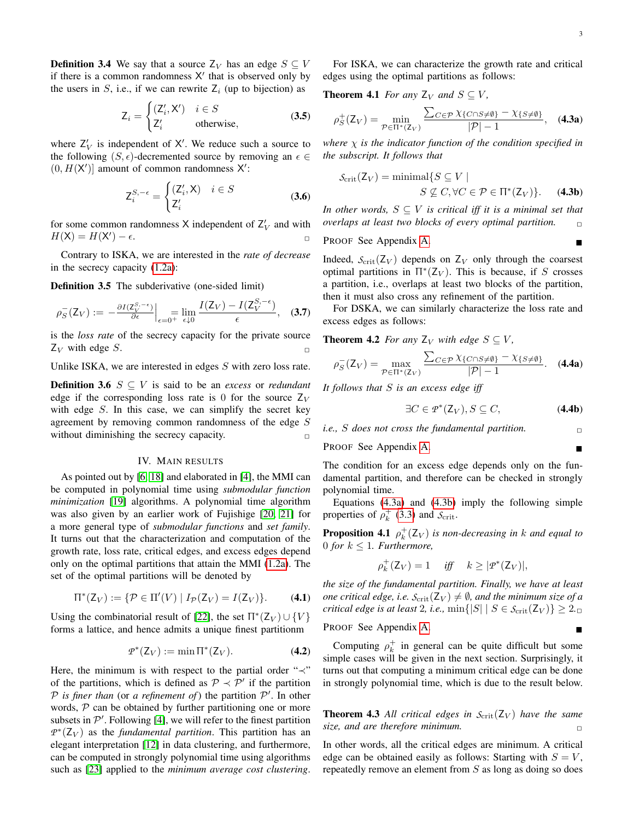**Definition 3.4** We say that a source  $Z_V$  has an edge  $S \subseteq V$ if there is a common randomness X' that is observed only by the users in  $S$ , i.e., if we can rewrite  $Z_i$  (up to bijection) as

$$
Z_i = \begin{cases} (Z'_i, X') & i \in S \\ Z'_i & \text{otherwise,} \end{cases} \tag{3.5}
$$

where  $Z_V'$  is independent of X'. We reduce such a source to the following  $(S, \epsilon)$ -decremented source by removing an  $\epsilon \in$  $(0, H(X')$ ] amount of common randomness X':

$$
Z_i^{S,-\epsilon} = \begin{cases} (Z_i', X) & i \in S \\ Z_i' & (3.6) \end{cases}
$$

for some common randomness X independent of  $Z_V'$  and with  $H(\mathsf{X}) = H(\mathsf{X}') - \epsilon.$ 

Contrary to ISKA, we are interested in the *rate of decrease* in the secrecy capacity [\(1.2a\)](#page-0-0):

Definition 3.5 The subderivative (one-sided limit)

$$
\rho_S^-(Z_V) := -\frac{\partial I(Z_V^{S,-\epsilon})}{\partial \epsilon}\Big|_{\epsilon=0^+}\lim_{\epsilon\downarrow 0}\frac{I(Z_V)-I(Z_V^{S,-\epsilon})}{\epsilon},\quad (3.7)
$$

is the *loss rate* of the secrecy capacity for the private source  $Z_V$  with edge S.

Unlike ISKA, we are interested in edges  $S$  with zero loss rate.

**Definition 3.6**  $S \subseteq V$  is said to be an *excess* or *redundant* edge if the corresponding loss rate is 0 for the source  $Z_V$ with edge  $S$ . In this case, we can simplify the secret key agreement by removing common randomness of the edge S without diminishing the secrecy capacity.  $\Box$ 

## IV. MAIN RESULTS

As pointed out by [\[6,](#page-6-5) [18\]](#page-6-15) and elaborated in [\[4\]](#page-6-3), the MMI can be computed in polynomial time using *submodular function minimization* [\[19\]](#page-6-16) algorithms. A polynomial time algorithm was also given by an earlier work of Fujishige [\[20,](#page-6-17) [21\]](#page-6-18) for a more general type of *submodular functions* and *set family*. It turns out that the characterization and computation of the growth rate, loss rate, critical edges, and excess edges depend only on the optimal partitions that attain the MMI [\(1.2a\)](#page-0-0). The set of the optimal partitions will be denoted by

$$
\Pi^*(Z_V) := \{ \mathcal{P} \in \Pi'(V) \mid I_{\mathcal{P}}(Z_V) = I(Z_V) \}.
$$
 (4.1)

Using the combinatorial result of [\[22\]](#page-6-19), the set  $\Pi^*(Z_V) \cup \{V\}$ forms a lattice, and hence admits a unique finest partitionm

$$
\mathcal{P}^*(Z_V) := \min \Pi^*(Z_V). \tag{4.2}
$$

Here, the minimum is with respect to the partial order " $\prec$ " of the partitions, which is defined as  $\mathcal{P} \prec \mathcal{P}'$  if the partition  $P$  is finer than (or a refinement of) the partition  $P'$ . In other words,  $P$  can be obtained by further partitioning one or more subsets in  $\mathcal{P}'$ . Following [\[4\]](#page-6-3), we will refer to the finest partition  $P^*(Z_V)$  as the *fundamental partition*. This partition has an elegant interpretation [\[12\]](#page-6-10) in data clustering, and furthermore, can be computed in strongly polynomial time using algorithms such as [\[23\]](#page-6-20) applied to the *minimum average cost clustering*.

For ISKA, we can characterize the growth rate and critical edges using the optimal partitions as follows:

**Theorem 4.1** *For any*  $Z_V$  *and*  $S \subseteq V$ *,* 

<span id="page-2-3"></span><span id="page-2-0"></span>
$$
\rho_S^+(Z_V) = \min_{\mathcal{P} \in \Pi^*(Z_V)} \frac{\sum_{C \in \mathcal{P}} \chi_{\{C \cap S \neq \emptyset\}} - \chi_{\{S \neq \emptyset\}}}{|\mathcal{P}| - 1}, \quad \textbf{(4.3a)}
$$

*where* χ *is the indicator function of the condition specified in the subscript. It follows that*

<span id="page-2-1"></span>
$$
S_{\text{crit}}(Z_V) = \text{minimal}\{S \subseteq V \mid
$$
  

$$
S \nsubseteq C, \forall C \in \mathcal{P} \in \Pi^*(Z_V)\}.
$$
 (4.3b)

*In other words,*  $S \subseteq V$  *is critical iff it is a minimal set that overlaps at least two blocks of every optimal partition.* ✷

PROOF See Appendix [A.](#page-4-0)

Indeed,  $S_{\text{crit}}(Z_V)$  depends on  $Z_V$  only through the coarsest optimal partitions in  $\Pi^*(Z_V)$ . This is because, if S crosses a partition, i.e., overlaps at least two blocks of the partition, then it must also cross any refinement of the partition.

For DSKA, we can similarly characterize the loss rate and excess edges as follows:

**Theorem 4.2** *For any*  $Z_V$  *with edge*  $S \subseteq V$ *,* 

$$
\rho_S^-(\mathsf{Z}_V) = \max_{\mathcal{P} \in \Pi^*(\mathsf{Z}_V)} \frac{\sum_{C \in \mathcal{P}} \chi_{\{C \cap S \neq \emptyset\}} - \chi_{\{S \neq \emptyset\}}}{|\mathcal{P}| - 1}.
$$
 (4.4a)

*It follows that* S *is an excess edge iff*

<span id="page-2-6"></span><span id="page-2-5"></span><span id="page-2-4"></span>
$$
\exists C \in \mathcal{P}^*(\mathsf{Z}_V), S \subseteq C,\tag{4.4b}
$$

*i.e.,* S *does not cross the fundamental partition.* ✷

PROOF See Appendix [A.](#page-4-0)

The condition for an excess edge depends only on the fundamental partition, and therefore can be checked in strongly polynomial time.

Equations [\(4.3a\)](#page-2-0) and [\(4.3b\)](#page-2-1) imply the following simple properties of  $\rho_k^+$  [\(3.3\)](#page-1-2) and  $S_{\text{crit}}$ .

**Proposition 4.1**  $\rho_k^+(Z_V)$  is non-decreasing in k and equal to 0 *for*  $k \leq 1$ *. Furthermore,* 

<span id="page-2-7"></span>
$$
\rho_k^+(Z_V) = 1 \quad \text{ iff } \quad k \ge |{\it T}^*(Z_V)|,
$$

*the size of the fundamental partition. Finally, we have at least one critical edge, i.e.*  $S_{\text{crit}}(Z_V) \neq \emptyset$ *, and the minimum size of a critical edge is at least* 2*, i.e.,*  $\min\{|S| \mid S \in \mathcal{S}_{\text{crit}}(\mathsf{Z}_V)\} \geq 2.$ 

PROOF See Appendix [A.](#page-4-0)

Computing  $\rho_k^+$  in general can be quite difficult but some simple cases will be given in the next section. Surprisingly, it turns out that computing a minimum critical edge can be done in strongly polynomial time, which is due to the result below.

<span id="page-2-2"></span>**Theorem 4.3** All critical edges in  $S_{\text{crit}}(Z_V)$  have the same *size, and are therefore minimum.*  $\Box$ 

In other words, all the critical edges are minimum. A critical edge can be obtained easily as follows: Starting with  $S = V$ , repeatedly remove an element from S as long as doing so does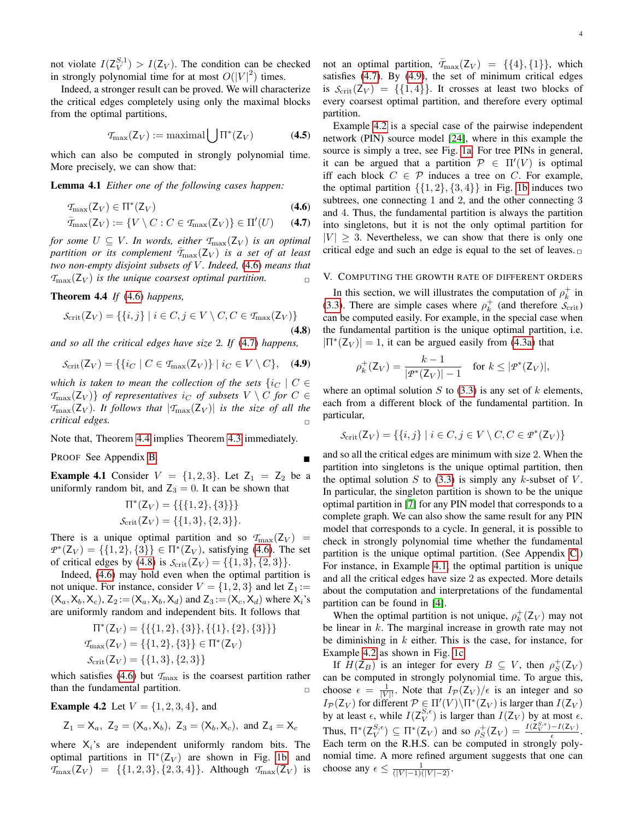not violate  $I(\mathsf{Z}_{V}^{S,1}) > I(\mathsf{Z}_{V})$ . The condition can be checked in strongly polynomial time for at most  $O(|V|^2)$  times.

Indeed, a stronger result can be proved. We will characterize the critical edges completely using only the maximal blocks from the optimal partitions,

<span id="page-3-7"></span>
$$
\mathcal{T}_{\text{max}}(Z_V) := \text{maximal} \bigcup \Pi^*(Z_V) \tag{4.5}
$$

which can also be computed in strongly polynomial time. More precisely, we can show that:

Lemma 4.1 *Either one of the following cases happen:*

$$
\mathcal{T}_{\text{max}}(\mathsf{Z}_V) \in \Pi^*(\mathsf{Z}_V) \tag{4.6}
$$

$$
\overline{T}_{\text{max}}(Z_V) := \{ V \setminus C : C \in \mathcal{T}_{\text{max}}(Z_V) \} \in \Pi'(U) \qquad (4.7)
$$

*for some*  $U \subseteq V$ *. In words, either*  $T_{\text{max}}(Z_V)$  *is an optimal partition or its complement*  $T_{\text{max}}(Z_V)$  *is a set of at least two non-empty disjoint subsets of V. Indeed,* [\(4.6\)](#page-3-0) *means that*  $T_{\text{max}}(Z_V)$  *is the unique coarsest optimal partition.* 

<span id="page-3-2"></span>Theorem 4.4 *If* [\(4.6\)](#page-3-0) *happens,*

$$
\mathcal{S}_{\text{crit}}(\mathsf{Z}_V) = \{ \{i, j\} \mid i \in C, j \in V \setminus C, C \in \mathcal{T}_{\text{max}}(\mathsf{Z}_V) \}
$$
\n(4.8)

*and so all the critical edges have size* 2*. If* [\(4.7\)](#page-3-1) *happens,*

$$
S_{\rm crit}(Z_V) = \{ \{ i_C \mid C \in \mathcal{T}_{\rm max}(Z_V) \} \mid i_C \in V \setminus C \}, \quad (4.9)
$$

*which is taken to mean the collection of the sets*  $\{i_C \mid C \in$  $\{T_{\text{max}}(Z_V)\}\;$  *of representatives*  $i_C$  *of subsets*  $V \setminus C$  *for*  $C \in$  $T_{\text{max}}(Z_V)$ *. It follows that*  $|T_{\text{max}}(Z_V)|$  *is the size of all the critical edges.* ✷

Note that, Theorem [4.4](#page-3-2) implies Theorem [4.3](#page-2-2) immediately.

PROOF See Appendix [B.](#page-4-1)

<span id="page-3-6"></span>**Example 4.1** Consider  $V = \{1, 2, 3\}$ . Let  $Z_1 = Z_2$  be a uniformly random bit, and  $Z_3 = 0$ . It can be shown that

$$
\Pi^*(Z_V) = \{\{\{1, 2\}, \{3\}\}\}\
$$

$$
\mathcal{S}_{\text{crit}}(Z_V) = \{\{1, 3\}, \{2, 3\}\}.
$$

There is a unique optimal partition and so  $T_{\text{max}}(Z_V)$  $P^*(Z_V) = \{\{1,2\},\{3\}\}\in \Pi^*(Z_V)$ , satisfying [\(4.6\)](#page-3-0). The set of critical edges by [\(4.8\)](#page-3-3) is  $S_{\text{crit}}(Z_V) = \{\{1,3\},\{2,3\}\}.$ 

Indeed, [\(4.6\)](#page-3-0) may hold even when the optimal partition is not unique. For instance, consider  $V = \{1, 2, 3\}$  and let  $Z_1 :=$  $(X_a, X_b, X_c)$ ,  $Z_2 := (X_a, X_b, X_d)$  and  $Z_3 := (X_c, X_d)$  where  $X_i$ 's are uniformly random and independent bits. It follows that

$$
\Pi^*(Z_V) = \{\{\{1, 2\}, \{3\}\}, \{\{1\}, \{2\}, \{3\}\}\}\
$$

$$
\mathcal{T}_{\text{max}}(Z_V) = \{\{1, 2\}, \{3\}\} \in \Pi^*(Z_V)
$$

$$
\mathcal{S}_{\text{crit}}(Z_V) = \{\{1, 3\}, \{2, 3\}\}
$$

which satisfies [\(4.6\)](#page-3-0) but  $T_{\text{max}}$  is the coarsest partition rather than the fundamental partition.  $\Box$ 

<span id="page-3-5"></span>**Example 4.2** Let  $V = \{1, 2, 3, 4\}$ , and

$$
Z_1 = X_a
$$
,  $Z_2 = (X_a, X_b)$ ,  $Z_3 = (X_b, X_c)$ , and  $Z_4 = X_c$ 

where  $X_i$ 's are independent uniformly random bits. The optimal partitions in  $\Pi^*(Z_V)$  are shown in Fig. [1b,](#page-4-2) and  $T_{\text{max}}(Z_V) = \{ \{1, 2, 3\}, \{2, 3, 4\} \}.$  Although  $T_{\text{max}}(Z_V)$  is not an optimal partition,  $\bar{T}_{\text{max}}(Z_V) = \{ \{4\}, \{1\} \}$ , which satisfies [\(4.7\)](#page-3-1). By [\(4.9\)](#page-3-4), the set of minimum critical edges is  $S_{\text{crit}}(Z_V) = \{\{1,4\}\}\$ . It crosses at least two blocks of every coarsest optimal partition, and therefore every optimal partition.

<span id="page-3-8"></span><span id="page-3-0"></span>Example [4.2](#page-3-5) is a special case of the pairwise independent network (PIN) source model [\[24\]](#page-6-21), where in this example the source is simply a tree, see Fig. [1a.](#page-4-2) For tree PINs in general, it can be argued that a partition  $\mathcal{P} \in \Pi'(V)$  is optimal iff each block  $C \in \mathcal{P}$  induces a tree on C. For example, the optimal partition  $\{\{1, 2\}, \{3, 4\}\}\$  in Fig. [1b](#page-4-2) induces two subtrees, one connecting 1 and 2, and the other connecting 3 and 4. Thus, the fundamental partition is always the partition into singletons, but it is not the only optimal partition for  $|V| > 3$ . Nevertheless, we can show that there is only one critical edge and such an edge is equal to the set of leaves.  $\Box$ 

## <span id="page-3-1"></span>V. COMPUTING THE GROWTH RATE OF DIFFERENT ORDERS

<span id="page-3-3"></span>In this section, we will illustrates the computation of  $\rho_k^+$  in [\(3.3\)](#page-1-2). There are simple cases where  $\rho_k^+$  (and therefore  $\mathcal{S}_{\text{crit}}$ ) can be computed easily. For example, in the special case when the fundamental partition is the unique optimal partition, i.e.  $|\Pi^*(Z_V)| = 1$ , it can be argued easily from [\(4.3a\)](#page-2-0) that

$$
\rho_k^+(Z_V) = \frac{k-1}{|\mathcal{P}^*(Z_V)|-1} \quad \text{for } k \le |\mathcal{P}^*(Z_V)|,
$$

<span id="page-3-4"></span>where an optimal solution  $S$  to [\(3.3\)](#page-1-2) is any set of  $k$  elements, each from a different block of the fundamental partition. In particular,

$$
\mathcal{S}_{\text{crit}}(\mathsf{Z}_V) = \{ \{i, j\} \mid i \in C, j \in V \setminus C, C \in \mathcal{P}^*(\mathsf{Z}_V) \}
$$

and so all the critical edges are minimum with size 2. When the partition into singletons is the unique optimal partition, then the optimal solution  $S$  to [\(3.3\)](#page-1-2) is simply any k-subset of  $V$ . In particular, the singleton partition is shown to be the unique optimal partition in [\[7\]](#page-6-6) for any PIN model that corresponds to a complete graph. We can also show the same result for any PIN model that corresponds to a cycle. In general, it is possible to check in strongly polynomial time whether the fundamental partition is the unique optimal partition. (See Appendix [C.](#page-6-22)) For instance, in Example [4.1,](#page-3-6) the optimal partition is unique and all the critical edges have size 2 as expected. More details about the computation and interpretations of the fundamental partition can be found in [\[4\]](#page-6-3).

When the optimal partition is not unique,  $\rho_k^+(Z_V)$  may not be linear in  $k$ . The marginal increase in growth rate may not be diminishing in  $k$  either. This is the case, for instance, for Example [4.2](#page-3-5) as shown in Fig. [1c.](#page-4-2)

If  $H(\mathsf{Z}_B)$  is an integer for every  $B \subseteq V$ , then  $\rho_S^+(\mathsf{Z}_V)$ can be computed in strongly polynomial time. To argue this, choose  $\epsilon = \frac{1}{|V|!}$ . Note that  $I_{\mathcal{P}}(Z_V)/\epsilon$  is an integer and so  $I_{\mathcal{P}}(\mathsf{Z}_V)$  for different  $\mathcal{P} \in \Pi'(V) \backslash \Pi^*(\mathsf{Z}_V)$  is larger than  $I(\mathsf{Z}_V)$ by at least  $\epsilon$ , while  $I(Z_V^{\mathcal{S}, \epsilon})$  is larger than  $I(Z_V)$  by at most  $\epsilon$ . Thus,  $\Pi^*(Z_V^{S,\epsilon}) \subseteq \Pi^*(Z_V)$  and so  $\rho_S^+(Z_V) = \frac{I(Z_V^{S,\epsilon}) - I(Z_V)}{\epsilon}$  $\frac{(-1)(2V)}{\epsilon}$ . Each term on the R.H.S. can be computed in strongly polynomial time. A more refined argument suggests that one can choose any  $\epsilon \leq \frac{1}{(|V| - 1)(|V| - 2)}$ .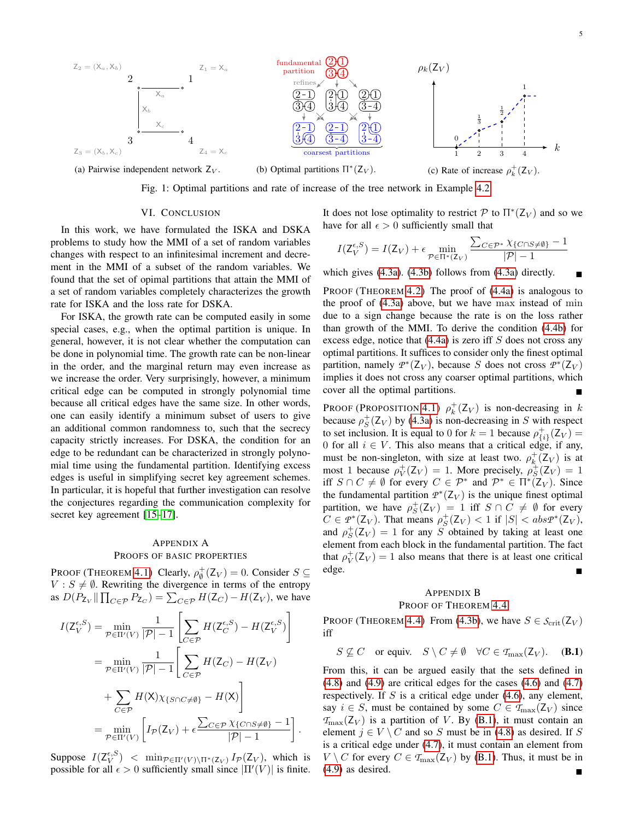<span id="page-4-2"></span>

Fig. 1: Optimal partitions and rate of increase of the tree network in Example [4.2.](#page-3-5)

#### VI. CONCLUSION

In this work, we have formulated the ISKA and DSKA problems to study how the MMI of a set of random variables changes with respect to an infinitesimal increment and decrement in the MMI of a subset of the random variables. We found that the set of opimal partitions that attain the MMI of a set of random variables completely characterizes the growth rate for ISKA and the loss rate for DSKA.

For ISKA, the growth rate can be computed easily in some special cases, e.g., when the optimal partition is unique. In general, however, it is not clear whether the computation can be done in polynomial time. The growth rate can be non-linear in the order, and the marginal return may even increase as we increase the order. Very surprisingly, however, a minimum critical edge can be computed in strongly polynomial time because all critical edges have the same size. In other words, one can easily identify a minimum subset of users to give an additional common randomness to, such that the secrecy capacity strictly increases. For DSKA, the condition for an edge to be redundant can be characterized in strongly polynomial time using the fundamental partition. Identifying excess edges is useful in simplifying secret key agreement schemes. In particular, it is hopeful that further investigation can resolve the conjectures regarding the communication complexity for secret key agreement [\[15–](#page-6-13)[17\]](#page-6-14).

# <span id="page-4-0"></span>APPENDIX A PROOFS OF BASIC PROPERTIES

PROOF (THEOREM [4.1\)](#page-2-3) Clearly,  $\rho_{\emptyset}^{+}(Z_V) = 0$ . Consider  $S \subseteq$  $V : S \neq \emptyset$ . Rewriting the divergence in terms of the entropy as  $D(P_{Z_V} \| \prod_{C \in \mathcal{P}} P_{Z_C}) = \sum_{C \in \mathcal{P}} H(Z_C) - H(Z_V)$ , we have

$$
I(Z_V^{\epsilon,S}) = \min_{\mathcal{P} \in \Pi'(V)} \frac{1}{|\mathcal{P}| - 1} \left[ \sum_{C \in \mathcal{P}} H(Z_C^{\epsilon,S}) - H(Z_V^{\epsilon,S}) \right]
$$
  
= 
$$
\min_{\mathcal{P} \in \Pi'(V)} \frac{1}{|\mathcal{P}| - 1} \left[ \sum_{C \in \mathcal{P}} H(Z_C) - H(Z_V) \right]
$$
  
+ 
$$
\sum_{C \in \mathcal{P}} H(X) \chi_{\{S \cap C \neq \emptyset\}} - H(X) \right]
$$
  
= 
$$
\min_{\mathcal{P} \in \Pi'(V)} \left[ I_{\mathcal{P}}(Z_V) + \epsilon \frac{\sum_{C \in \mathcal{P}} \chi_{\{C \cap S \neq \emptyset\}} - 1}{|\mathcal{P}| - 1} \right].
$$

Suppose  $I(\mathsf{Z}_V^{\epsilon,S})$  <  $\min_{\mathcal{P} \in \Pi'(V) \setminus \Pi^*(\mathsf{Z}_V)} I_{\mathcal{P}}(\mathsf{Z}_V)$ , which is possible for all  $\epsilon > 0$  sufficiently small since  $|\Pi'(V)|$  is finite.

It does not lose optimality to restrict  $\mathcal P$  to  $\Pi^*(Z_V)$  and so we have for all  $\epsilon > 0$  sufficiently small that

$$
I(Z_V^{\epsilon,S}) = I(Z_V) + \epsilon \min_{\mathcal{P} \in \Pi^*(Z_V)} \frac{\sum_{C \in \mathcal{P}^*} \chi_{\{C \cap S \neq \emptyset\}} - 1}{|\mathcal{P}| - 1}
$$

which gives [\(4.3a\)](#page-2-0). [\(4.3b\)](#page-2-1) follows from [\(4.3a\)](#page-2-0) directly.

PROOF (THEOREM [4.2\)](#page-2-4) The proof of [\(4.4a\)](#page-2-5) is analogous to the proof of [\(4.3a\)](#page-2-0) above, but we have max instead of min due to a sign change because the rate is on the loss rather than growth of the MMI. To derive the condition [\(4.4b\)](#page-2-6) for excess edge, notice that  $(4.4a)$  is zero iff S does not cross any optimal partitions. It suffices to consider only the finest optimal partition, namely  $P^*(Z_V)$ , because S does not cross  $P^*(Z_V)$ implies it does not cross any coarser optimal partitions, which cover all the optimal partitions.

PROOF (PROPOSITION [4.1\)](#page-2-7)  $\rho_k^+(Z_V)$  is non-decreasing in k because  $\rho_S^+(Z_V)$  by [\(4.3a\)](#page-2-0) is non-decreasing in S with respect to set inclusion. It is equal to 0 for  $k = 1$  because  $\rho_{\{i\}}^+(Z_V) =$ 0 for all  $i \in V$ . This also means that a critical edge, if any, must be non-singleton, with size at least two.  $\rho_k^+(Z_V)$  is at most 1 because  $\rho_V^+(Z_V) = 1$ . More precisely,  $\rho_S^+(Z_V) = 1$ iff  $S \cap C \neq \emptyset$  for every  $C \in \mathcal{P}^*$  and  $\mathcal{P}^* \in \Pi^*(Z_V)$ . Since the fundamental partition  $P^*(Z_V)$  is the unique finest optimal partition, we have  $\rho_S^+(Z_V) = 1$  iff  $S \cap C \neq \emptyset$  for every  $C \in \mathcal{P}^*(\mathsf{Z}_V)$ . That means  $\rho_S^+(\mathsf{Z}_V) < 1$  if  $|S| < abs\mathcal{P}^*(\mathsf{Z}_V)$ , and  $\rho_S^+(Z_V) = 1$  for any S obtained by taking at least one element from each block in the fundamental partition. The fact that  $\rho_V^+(Z_V) = 1$  also means that there is at least one critical edge.

# <span id="page-4-3"></span><span id="page-4-1"></span>APPENDIX B

## PROOF OF THEOREM [4.4](#page-3-2)

PROOF (THEOREM [4.4\)](#page-3-2) From [\(4.3b\)](#page-2-1), we have  $S \in S_{\text{crit}}(Z_V)$ iff

 $S \nsubseteq C$  or equiv.  $S \setminus C \neq \emptyset$   $\forall C \in \mathcal{T}_{\text{max}}(\mathsf{Z}_V)$ . (**B.1**)

From this, it can be argued easily that the sets defined in [\(4.8\)](#page-3-3) and [\(4.9\)](#page-3-4) are critical edges for the cases [\(4.6\)](#page-3-0) and [\(4.7\)](#page-3-1) respectively. If  $S$  is a critical edge under [\(4.6\)](#page-3-0), any element, say  $i \in S$ , must be contained by some  $C \in \mathcal{T}_{\text{max}}(\mathbb{Z}_V)$  since  $T_{\text{max}}(Z_V)$  is a partition of V. By [\(B.1\)](#page-4-3), it must contain an element  $j \in V \setminus C$  and so S must be in [\(4.8\)](#page-3-3) as desired. If S is a critical edge under [\(4.7\)](#page-3-1), it must contain an element from  $V \setminus C$  for every  $C \in \mathcal{T}_{\text{max}}(Z_V)$  by [\(B.1\)](#page-4-3). Thus, it must be in [\(4.9\)](#page-3-4) as desired.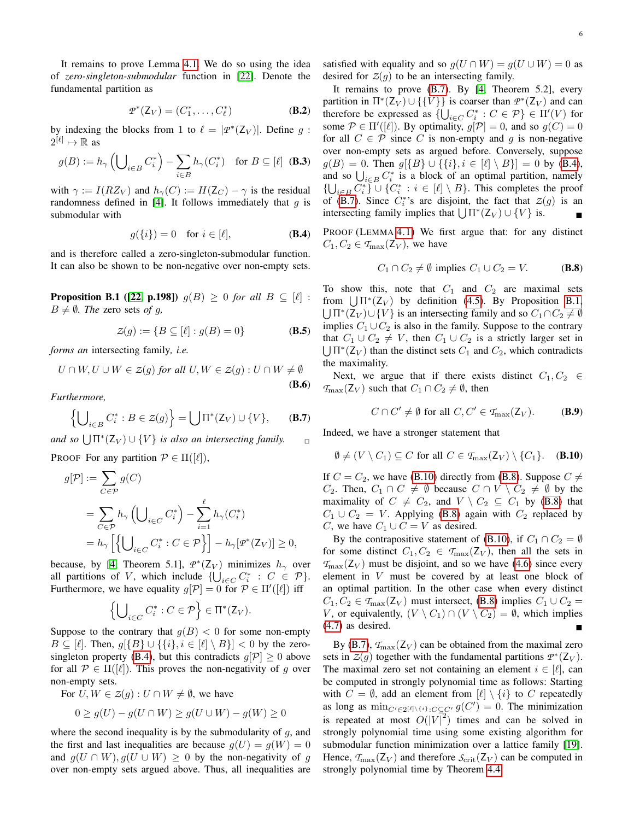It remains to prove Lemma [4.1.](#page-3-7) We do so using the idea of *zero-singleton-submodular* function in [\[22\]](#page-6-19). Denote the fundamental partition as

$$
\mathcal{P}^*(Z_V) = (C_1^*, \dots, C_\ell^*)
$$
 (B.2)

by indexing the blocks from 1 to  $\ell = |p^*(Z_V)|$ . Define g:  $2^{[\ell]} \mapsto \mathbb{R}$  as

$$
g(B) := h_{\gamma} \left( \bigcup_{i \in B} C_i^* \right) - \sum_{i \in B} h_{\gamma}(C_i^*) \quad \text{for } B \subseteq [\ell] \tag{B.3}
$$

with  $\gamma := I(RZ_V)$  and  $h_{\gamma}(C) := H(Z_C) - \gamma$  is the residual randomness defined in [\[4\]](#page-6-3). It follows immediately that  $q$  is submodular with

$$
g({i}) = 0 \quad \text{for } i \in [\ell], \tag{B.4}
$$

<span id="page-5-2"></span>and is therefore called a zero-singleton-submodular function. It can also be shown to be non-negative over non-empty sets.

**Proposition B.1** ([\[22,](#page-6-19) p.198])  $g(B) \ge 0$  *for all*  $B \subseteq [\ell]$ :  $B \neq \emptyset$ *. The* zero sets *of g*,

$$
\mathcal{Z}(g) := \{ B \subseteq [\ell] : g(B) = 0 \}
$$
 (B.5)

*forms an* intersecting family*, i.e.*

$$
U \cap W, U \cup W \in Z(g) \text{ for all } U, W \in Z(g) : U \cap W \neq \emptyset
$$
\n(B.6)

*Furthermore,*

$$
\left\{ \bigcup_{i \in B} C_i^* : B \in \mathcal{Z}(g) \right\} = \bigcup \Pi^*(\mathcal{Z}_V) \cup \{ V \}, \qquad \textbf{(B.7)}
$$

and so  $\bigcup \Pi^*(Z_V) \cup \{V\}$  *is also an intersecting family.*  $\Box$ 

PROOF For any partition  $P \in \Pi(|\ell|)$ ,

$$
g[\mathcal{P}] := \sum_{C \in \mathcal{P}} g(C)
$$
  
= 
$$
\sum_{C \in \mathcal{P}} h_{\gamma} \left( \bigcup_{i \in C} C_i^* \right) - \sum_{i=1}^{\ell} h_{\gamma}(C_i^*)
$$
  
= 
$$
h_{\gamma} \left[ \left\{ \bigcup_{i \in C} C_i^* : C \in \mathcal{P} \right\} \right] - h_{\gamma} [p^*(\mathcal{Z}_V)] \ge 0,
$$

because, by [\[4,](#page-6-3) Theorem 5.1],  $p^*(Z_V)$  minimizes  $h_\gamma$  over all partitions of V, which include  $\{\bigcup_{i \in C} C_i^* : C \in \mathcal{P}\}.$ Furthermore, we have equality  $g[\mathcal{P}] = 0$  for  $\mathcal{P} \in \Pi'([\ell])$  iff

$$
\left\{\bigcup\nolimits_{i\in C} C_i^* : C \in \mathcal{P}\right\} \in \Pi^*(\mathsf{Z}_V).
$$

Suppose to the contrary that  $g(B) < 0$  for some non-empty  $B \subseteq [\ell]$ . Then,  $g[\{B\} \cup {\{\{i\}}, i \in [\ell] \setminus B\}] < 0$  by the zero-singleton property [\(B.4\)](#page-5-0), but this contradicts  $g[\mathcal{P}] \geq 0$  above for all  $\mathcal{P} \in \Pi([\ell])$ . This proves the non-negativity of g over non-empty sets.

For  $U, W \in Z(g) : U \cap W \neq \emptyset$ , we have

$$
0 \ge g(U) - g(U \cap W) \ge g(U \cup W) - g(W) \ge 0
$$

where the second inequality is by the submodularity of  $g$ , and the first and last inequalities are because  $g(U) = g(W) = 0$ and  $g(U \cap W), g(U \cup W) \geq 0$  by the non-negativity of q over non-empty sets argued above. Thus, all inequalities are satisfied with equality and so  $q(U \cap W) = q(U \cup W) = 0$  as desired for  $Z(q)$  to be an intersecting family.

<span id="page-5-5"></span>It remains to prove [\(B.7\)](#page-5-1). By [\[4,](#page-6-3) Theorem 5.2], every partition in  $\Pi^*(Z_V) \cup \{\{V\}\}\$ is coarser than  $\mathcal{P}^*(Z_V)$  and can therefore be expressed as  $\{\bigcup_{i \in C} C_i^* : C \in \mathcal{P}\} \in \Pi'(V)$  for some  $\mathcal{P} \in \Pi'([\ell])$ . By optimality,  $g[\mathcal{P}] = 0$ , and so  $g(C) = 0$ for all  $C \in \mathcal{P}$  since C is non-empty and q is non-negative over non-empty sets as argued before. Conversely, suppose  $g(B) = 0$ . Then  $g[\{B\} \cup \{\{i\}, i \in [\ell] \setminus B\}] = 0$  by [\(B.4\)](#page-5-0), and so  $\bigcup_{i \in B} C_i^*$  is a block of an optimal partition, namely  ${\{\bigcup_{i \in B} C_i^*\}}$   $\cup$   $\{C_i^* : i \in [\ell] \setminus B\}$ . This completes the proof of [\(B.7\)](#page-5-1). Since  $C_i^*$ 's are disjoint, the fact that  $\mathcal{Z}(g)$  is an intersecting family implies that  $\bigcup \Pi^*(Z_V) \cup \{V\}$  is. ■

<span id="page-5-0"></span>PROOF (LEMMA [4.1\)](#page-3-7) We first argue that: for any distinct  $C_1, C_2 \in \mathcal{T}_{\text{max}}(\mathsf{Z}_V)$ , we have

<span id="page-5-4"></span>
$$
C_1 \cap C_2 \neq \emptyset \text{ implies } C_1 \cup C_2 = V. \tag{B.8}
$$

<span id="page-5-6"></span>To show this, note that  $C_1$  and  $C_2$  are maximal sets from  $\bigcup \Pi^*(Z_V)$  by definition [\(4.5\)](#page-3-8). By Proposition [B.1,](#page-5-2)  $\bigcup \Pi^*(Z_V) \cup \{V\}$  is an intersecting family and so  $C_1 \cap C_2 \neq \emptyset$ implies  $C_1 \cup C_2$  is also in the family. Suppose to the contrary that  $C_1 \cup C_2 \neq V$ , then  $C_1 \cup C_2$  is a strictly larger set in  $\bigcup \Pi^*(Z_V)$  than the distinct sets  $C_1$  and  $C_2$ , which contradicts the maximality.

Next, we argue that if there exists distinct  $C_1, C_2 \in$  $T_{\text{max}}(Z_V)$  such that  $C_1 \cap C_2 \neq \emptyset$ , then

<span id="page-5-3"></span>
$$
C \cap C' \neq \emptyset \text{ for all } C, C' \in \mathcal{T}_{\text{max}}(\mathsf{Z}_V). \tag{B.9}
$$

<span id="page-5-1"></span>Indeed, we have a stronger statement that

$$
\emptyset \neq (V \setminus C_1) \subseteq C \text{ for all } C \in \mathcal{T}_{\text{max}}(\mathsf{Z}_V) \setminus \{C_1\}. \quad \textbf{(B.10)}
$$

If  $C = C_2$ , we have [\(B.10\)](#page-5-3) directly from [\(B.8\)](#page-5-4). Suppose  $C \neq$  $C_2$ . Then,  $C_1 \cap C \neq \emptyset$  because  $C \cap V \setminus C_2 \neq \emptyset$  by the maximality of  $C \neq C_2$ , and  $V \setminus C_2 \subseteq C_1$  by [\(B.8\)](#page-5-4) that  $C_1 \cup C_2 = V$ . Applying [\(B.8\)](#page-5-4) again with  $C_2$  replaced by C, we have  $C_1 \cup C = V$  as desired.

By the contrapositive statement of [\(B.10\)](#page-5-3), if  $C_1 \cap C_2 = \emptyset$ for some distinct  $C_1, C_2 \in \mathcal{T}_{\text{max}}(\mathcal{Z}_V)$ , then all the sets in  $T_{\text{max}}(Z_V)$  must be disjoint, and so we have [\(4.6\)](#page-3-0) since every element in V must be covered by at least one block of an optimal partition. In the other case when every distinct  $C_1, C_2 \in \mathcal{T}_{\text{max}}(\mathcal{Z}_V)$  must intersect, [\(B.8\)](#page-5-4) implies  $C_1 \cup C_2 =$ V, or equivalently,  $(V \setminus C_1) \cap (V \setminus C_2) = \emptyset$ , which implies [\(4.7\)](#page-3-1) as desired.

By [\(B.7\)](#page-5-1),  $T_{\text{max}}(Z_V)$  can be obtained from the maximal zero sets in  $\mathcal{Z}(g)$  together with the fundamental partitions  $\mathcal{P}^*(\mathcal{Z}_V)$ . The maximal zero set not containing an element  $i \in [\ell]$ , can be computed in strongly polynomial time as follows: Starting with  $C = \emptyset$ , add an element from  $[\ell] \setminus \{i\}$  to C repeatedly as long as  $\min_{C' \in 2^{\lceil \ell \rceil \setminus \{i\}}: C \subseteq C'} g(C') = 0$ . The minimization is repeated at most  $O(|V|^2)$  times and can be solved in strongly polynomial time using some existing algorithm for submodular function minimization over a lattice family [\[19\]](#page-6-16). Hence,  $T_{\text{max}}(Z_V)$  and therefore  $S_{\text{crit}}(Z_V)$  can be computed in strongly polynomial time by Theorem [4.4.](#page-3-2)